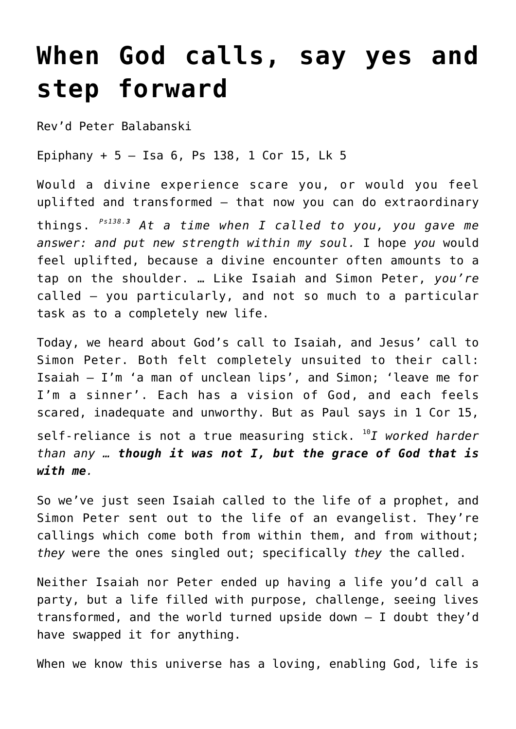## **[When God calls, say yes and](http://stjohnsadelaide.org.au/when-god-calls-say-yes/) [step forward](http://stjohnsadelaide.org.au/when-god-calls-say-yes/)**

Rev'd Peter Balabanski

Epiphany + 5 – Isa 6, Ps 138, 1 Cor 15, Lk 5

Would a divine experience scare you, or would you feel uplifted and transformed – that now you can do extraordinary things. *Ps138.<sup>3</sup> At a time when I called to you, you gave me answer: and put new strength within my soul.* I hope *you* would feel uplifted, because a divine encounter often amounts to a tap on the shoulder. … Like Isaiah and Simon Peter, *you're* called – you particularly, and not so much to a particular task as to a completely new life.

Today, we heard about God's call to Isaiah, and Jesus' call to Simon Peter. Both felt completely unsuited to their call: Isaiah – I'm 'a man of unclean lips', and Simon; 'leave me for I'm a sinner'. Each has a vision of God, and each feels scared, inadequate and unworthy. But as Paul says in 1 Cor 15, self-reliance is not a true measuring stick. <sup>10</sup>*I worked harder than any … though it was not I, but the grace of God that is with me.*

So we've just seen Isaiah called to the life of a prophet, and Simon Peter sent out to the life of an evangelist. They're callings which come both from within them, and from without; *they* were the ones singled out; specifically *they* the called.

Neither Isaiah nor Peter ended up having a life you'd call a party, but a life filled with purpose, challenge, seeing lives transformed, and the world turned upside down – I doubt they'd have swapped it for anything.

When we know this universe has a loving, enabling God, life is